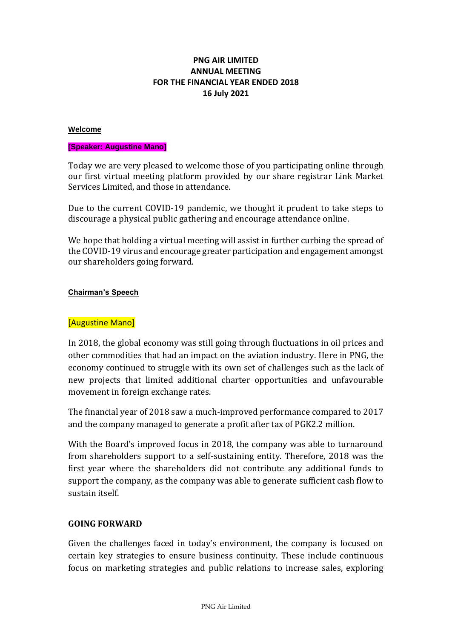# **PNG AIR LIMITED ANNUAL MEETING FOR THE FINANCIAL YEAR ENDED 2018 16 July 2021**

#### **Welcome**

#### **[Speaker: Augustine Mano]**

Today we are very pleased to welcome those of you participating online through our first virtual meeting platform provided by our share registrar Link Market Services Limited, and those in attendance.

Due to the current COVID-19 pandemic, we thought it prudent to take steps to discourage a physical public gathering and encourage attendance online.

We hope that holding a virtual meeting will assist in further curbing the spread of the COVID-19 virus and encourage greater participation and engagement amongst our shareholders going forward.

#### **Chairman's Speech**

### [Augustine Mano]

In 2018, the global economy was still going through fluctuations in oil prices and other commodities that had an impact on the aviation industry. Here in PNG, the economy continued to struggle with its own set of challenges such as the lack of new projects that limited additional charter opportunities and unfavourable movement in foreign exchange rates.

The financial year of 2018 saw a much-improved performance compared to 2017 and the company managed to generate a profit after tax of PGK2.2 million.

With the Board's improved focus in 2018, the company was able to turnaround from shareholders support to a self-sustaining entity. Therefore, 2018 was the first year where the shareholders did not contribute any additional funds to support the company, as the company was able to generate sufficient cash flow to sustain itself.

## **GOING FORWARD**

Given the challenges faced in today's environment, the company is focused on certain key strategies to ensure business continuity. These include continuous focus on marketing strategies and public relations to increase sales, exploring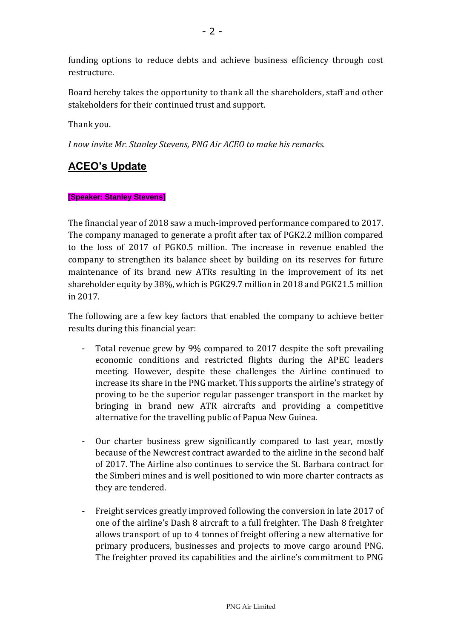funding options to reduce debts and achieve business efficiency through cost restructure.

Board hereby takes the opportunity to thank all the shareholders, staff and other stakeholders for their continued trust and support.

Thank you.

*I now invite Mr. Stanley Stevens, PNG Air ACEO to make his remarks.* 

# **ACEO's Update**

## **[Speaker: Stanley Stevens]**

The financial year of 2018 saw a much-improved performance compared to 2017. The company managed to generate a profit after tax of PGK2.2 million compared to the loss of 2017 of PGK0.5 million. The increase in revenue enabled the company to strengthen its balance sheet by building on its reserves for future maintenance of its brand new ATRs resulting in the improvement of its net shareholder equity by 38%, which is PGK29.7 million in 2018 and PGK21.5 million in 2017.

The following are a few key factors that enabled the company to achieve better results during this financial year:

- Total revenue grew by 9% compared to 2017 despite the soft prevailing economic conditions and restricted flights during the APEC leaders meeting. However, despite these challenges the Airline continued to increase its share in the PNG market. This supports the airline's strategy of proving to be the superior regular passenger transport in the market by bringing in brand new ATR aircrafts and providing a competitive alternative for the travelling public of Papua New Guinea.
- Our charter business grew significantly compared to last year, mostly because of the Newcrest contract awarded to the airline in the second half of 2017. The Airline also continues to service the St. Barbara contract for the Simberi mines and is well positioned to win more charter contracts as they are tendered.
- Freight services greatly improved following the conversion in late 2017 of one of the airline's Dash 8 aircraft to a full freighter. The Dash 8 freighter allows transport of up to 4 tonnes of freight offering a new alternative for primary producers, businesses and projects to move cargo around PNG. The freighter proved its capabilities and the airline's commitment to PNG